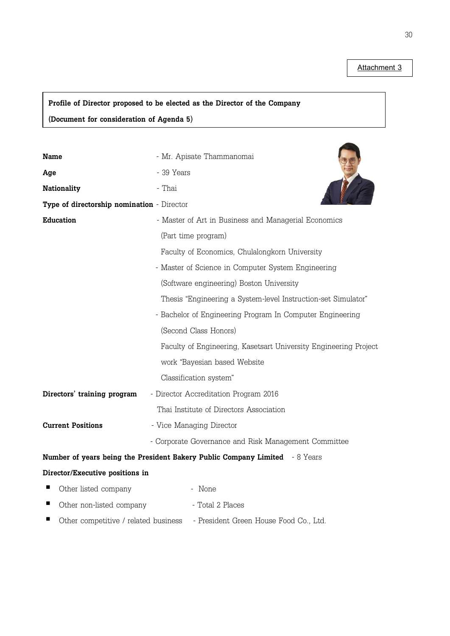**Attachment 3**

# **Profile of Director proposed to be elected as the Director of the Company (Document for consideration of Agenda 5)**

| <b>Name</b>                                                                 | - Mr. Apisate Thammanomai                                        |  |  |
|-----------------------------------------------------------------------------|------------------------------------------------------------------|--|--|
| Age                                                                         | - 39 Years                                                       |  |  |
| <b>Nationality</b>                                                          | - Thai                                                           |  |  |
| Type of directorship nomination - Director                                  |                                                                  |  |  |
| <b>Education</b>                                                            | - Master of Art in Business and Managerial Economics             |  |  |
|                                                                             | (Part time program)                                              |  |  |
|                                                                             | Faculty of Economics, Chulalongkorn University                   |  |  |
|                                                                             | - Master of Science in Computer System Engineering               |  |  |
|                                                                             | (Software engineering) Boston University                         |  |  |
|                                                                             | Thesis "Engineering a System-level Instruction-set Simulator"    |  |  |
|                                                                             | - Bachelor of Engineering Program In Computer Engineering        |  |  |
|                                                                             | (Second Class Honors)                                            |  |  |
|                                                                             | Faculty of Engineering, Kasetsart University Engineering Project |  |  |
|                                                                             | work "Bayesian based Website                                     |  |  |
|                                                                             | Classification system"                                           |  |  |
| Directors' training program                                                 | - Director Accreditation Program 2016                            |  |  |
|                                                                             | Thai Institute of Directors Association                          |  |  |
| <b>Current Positions</b>                                                    | - Vice Managing Director                                         |  |  |
|                                                                             | - Corporate Governance and Risk Management Committee             |  |  |
| Number of years being the President Bakery Public Company Limited - 8 Years |                                                                  |  |  |
| Director/Executive positions in                                             |                                                                  |  |  |
| Other listed company                                                        | - None                                                           |  |  |
| ш<br>Other non-listed company                                               | - Total 2 Places                                                 |  |  |
| Other competitive / related business                                        | - President Green House Food Co., Ltd.                           |  |  |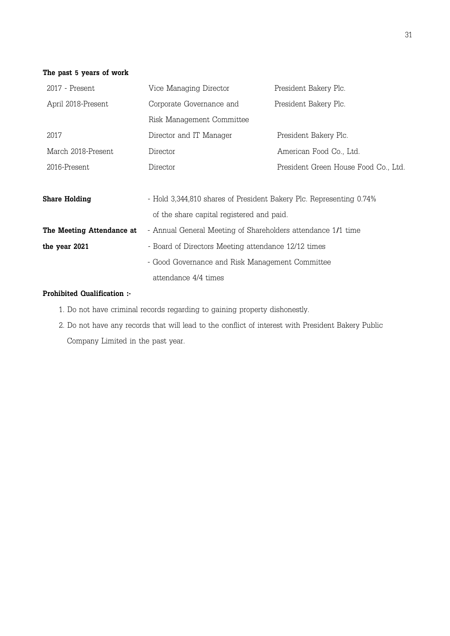#### **The past 5 years of work**

| 2017 - Present            | Vice Managing Director                                              | President Bakery Plc.                |
|---------------------------|---------------------------------------------------------------------|--------------------------------------|
| April 2018-Present        | Corporate Governance and                                            | President Bakery Plc.                |
|                           | Risk Management Committee                                           |                                      |
| 2017                      | Director and IT Manager                                             | President Bakery Plc.                |
| March 2018-Present        | Director                                                            | American Food Co., Ltd.              |
| 2016-Present              | Director                                                            | President Green House Food Co., Ltd. |
|                           |                                                                     |                                      |
| Share Holding             | - Hold 3,344,810 shares of President Bakery Plc. Representing 0.74% |                                      |
|                           | of the share capital registered and paid.                           |                                      |
| The Meeting Attendance at | - Annual General Meeting of Shareholders attendance 1/1 time        |                                      |
| the year 2021             | - Board of Directors Meeting attendance 12/12 times                 |                                      |
|                           | - Good Governance and Risk Management Committee                     |                                      |
|                           | attendance 4/4 times                                                |                                      |

- 1. Do not have criminal records regarding to gaining property dishonestly.
- 2. Do not have any records that will lead to the conflict of interest with President Bakery Public Company Limited in the past year.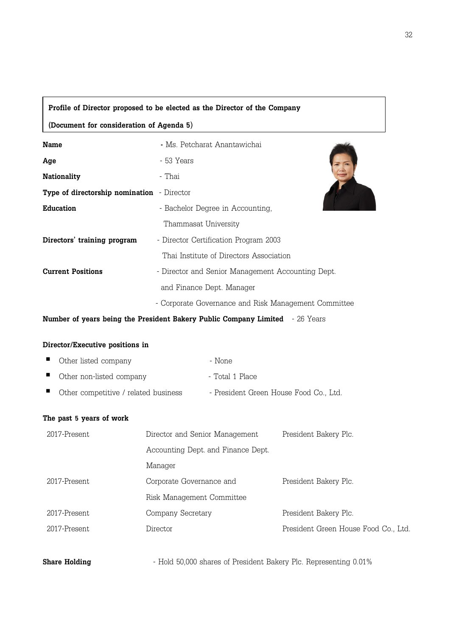#### **Profile of Director proposed to be elected as the Director of the Company**

**(Document for consideration of Agenda 5)**

| <b>Name</b>                                | - Ms Petcharat Anantawichai                          |
|--------------------------------------------|------------------------------------------------------|
| Age                                        | - 53 Years                                           |
| <b>Nationality</b>                         | - Thai                                               |
| Type of directorship nomination - Director |                                                      |
| <b>Education</b>                           | - Bachelor Degree in Accounting,                     |
|                                            | Thammasat University                                 |
| Directors' training program                | - Director Certification Program 2003                |
|                                            | Thai Institute of Directors Association              |
| <b>Current Positions</b>                   | - Director and Senior Management Accounting Dept.    |
|                                            | and Finance Dept. Manager                            |
|                                            | - Corporate Governance and Risk Management Committee |

**Number of years being the President Bakery Public Company Limited** - 26 Years

#### **Director/Executive positions in**

| ■ Other listed company                 | - None                               |
|----------------------------------------|--------------------------------------|
| • Other non-listed company             | - Total 1 Place                      |
| ■ Other competitive / related business | - President Green House Food Co Ltd. |

#### **The past 5 years of work**

| 2017-Present | Director and Senior Management     | President Bakery Plc.                |
|--------------|------------------------------------|--------------------------------------|
|              | Accounting Dept. and Finance Dept. |                                      |
|              | Manager                            |                                      |
| 2017-Present | Corporate Governance and           | President Bakery Plc.                |
|              | Risk Management Committee          |                                      |
| 2017-Present | Company Secretary                  | President Bakery Plc.                |
| 2017-Present | Director                           | President Green House Food Co., Ltd. |

**Share Holding** - Hold 50,000 shares of President Bakery Plc. Representing 0.01%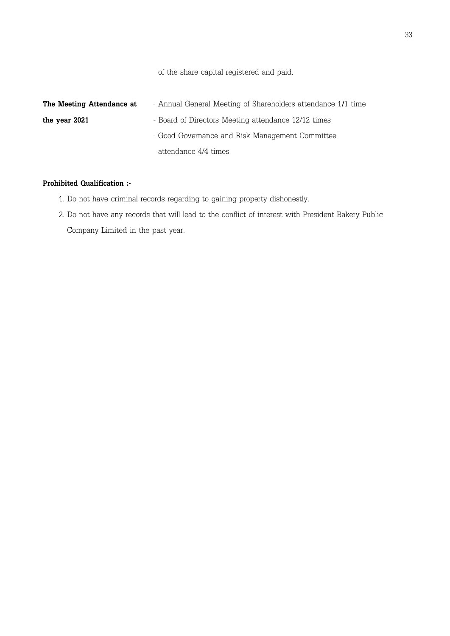of the share capital registered and paid.

| The Meeting Attendance at | - Annual General Meeting of Shareholders attendance 1/1 time |  |
|---------------------------|--------------------------------------------------------------|--|
| the year 2021             | - Board of Directors Meeting attendance 12/12 times          |  |
|                           | - Good Governance and Risk Management Committee              |  |
|                           | attendance 4/4 times                                         |  |

- 1. Do not have criminal records regarding to gaining property dishonestly.
- 2. Do not have any records that will lead to the conflict of interest with President Bakery Public Company Limited in the past year.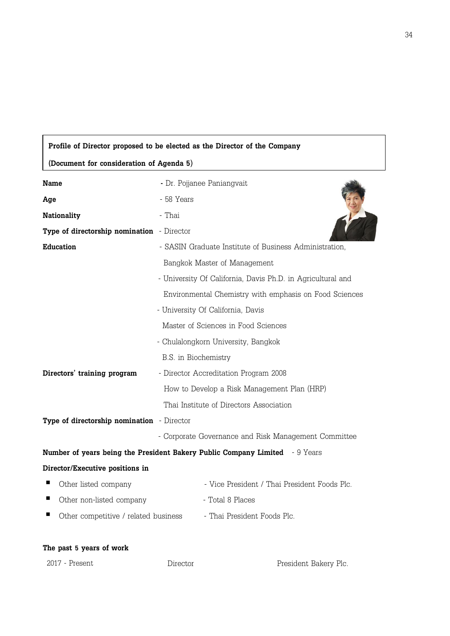#### **Profile of Director proposed to be elected as the Director of the Company**

**(Document for consideration of Agenda 5)**

| <b>Name</b>                                | - Dr. Pojjanee Paniangvait                                                         |
|--------------------------------------------|------------------------------------------------------------------------------------|
| Age                                        | - 58 Years                                                                         |
| <b>Nationality</b>                         | - Thai                                                                             |
| Type of directorship nomination - Director |                                                                                    |
| <b>Education</b>                           | - SASIN Graduate Institute of Business Administration,                             |
|                                            | Bangkok Master of Management                                                       |
|                                            | - University Of California, Davis Ph.D. in Agricultural and                        |
|                                            | Environmental Chemistry with emphasis on Food Sciences                             |
|                                            | - University Of California, Davis                                                  |
|                                            | Master of Sciences in Food Sciences                                                |
|                                            | - Chulalongkorn University, Bangkok                                                |
|                                            | B.S. in Biochemistry                                                               |
| Directors' training program                | - Director Accreditation Program 2008                                              |
|                                            | How to Develop a Risk Management Plan (HRP)                                        |
|                                            | Thai Institute of Directors Association                                            |
| Type of directorship nomination - Director |                                                                                    |
|                                            | - Corporate Governance and Risk Management Committee                               |
|                                            | <b>Number of years being the President Bakery Public Company Limited</b> - 9 Years |
| Director/Executive positions in            |                                                                                    |
| ш<br>Other listed company                  | - Vice President / Thai President Foods Plc.                                       |
| ш<br>Other non-listed company              | - Total 8 Places                                                                   |
| Other competitive / related business       | - Thai President Foods Plc.                                                        |

#### **The past 5 years of work**

2017 - Present Director President Bakery Plc.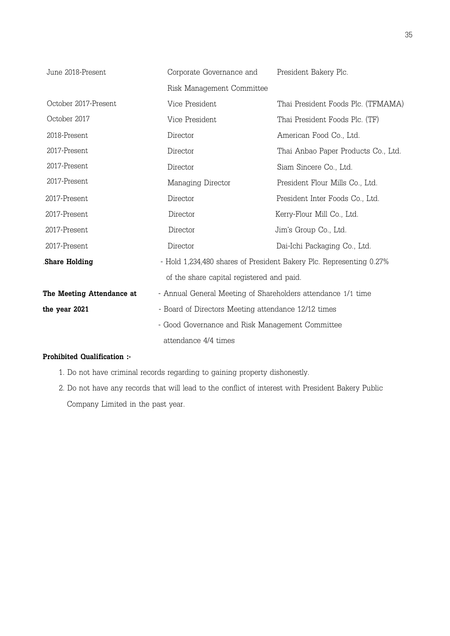| June 2018-Present         | Corporate Governance and                                            | President Bakery Plc.               |
|---------------------------|---------------------------------------------------------------------|-------------------------------------|
|                           | Risk Management Committee                                           |                                     |
| October 2017-Present      | Vice President                                                      | Thai President Foods Plc. (TFMAMA)  |
| October 2017              | Vice President                                                      | Thai President Foods Plc. (TF)      |
| 2018-Present              | Director                                                            | American Food Co., Ltd.             |
| 2017-Present              | Director                                                            | Thai Anbao Paper Products Co., Ltd. |
| 2017-Present              | Director                                                            | Siam Sincere Co., Ltd.              |
| 2017-Present              | Managing Director                                                   | President Flour Mills Co., Ltd.     |
| 2017-Present              | Director                                                            | President Inter Foods Co., Ltd.     |
| 2017-Present              | Director                                                            | Kerry-Flour Mill Co., Ltd.          |
| 2017-Present              | Director                                                            | Jim's Group Co., Ltd.               |
| 2017-Present              | Director                                                            | Dai-Ichi Packaging Co., Ltd.        |
| <b>Share Holding</b>      | - Hold 1,234,480 shares of President Bakery Plc. Representing 0.27% |                                     |
|                           | of the share capital registered and paid.                           |                                     |
| The Meeting Attendance at | - Annual General Meeting of Shareholders attendance 1/1 time        |                                     |
| the year 2021             | - Board of Directors Meeting attendance 12/12 times                 |                                     |
|                           | - Good Governance and Risk Management Committee                     |                                     |
|                           | attendance 4/4 times                                                |                                     |

- 1. Do not have criminal records regarding to gaining property dishonestly.
- 2. Do not have any records that will lead to the conflict of interest with President Bakery Public Company Limited in the past year.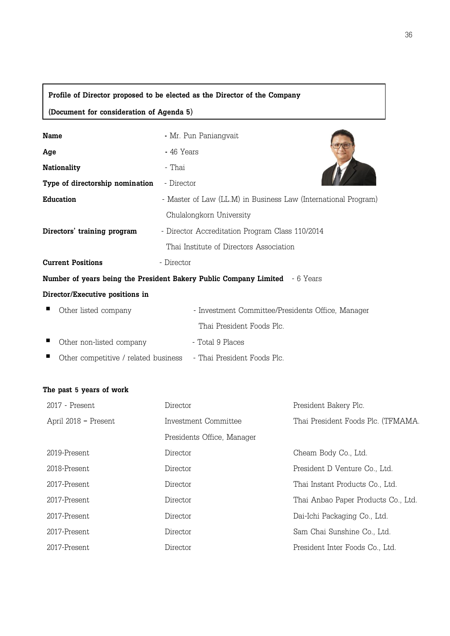| Profile of Director proposed to be elected as the Director of the Company      |                                                                                    |  |
|--------------------------------------------------------------------------------|------------------------------------------------------------------------------------|--|
| (Document for consideration of Agenda 5)                                       |                                                                                    |  |
| <b>Name</b>                                                                    | - Mr. Pun Paniangvait                                                              |  |
| Age                                                                            | - 46 Years                                                                         |  |
| <b>Nationality</b>                                                             | - Thai                                                                             |  |
| Type of directorship nomination                                                | - Director                                                                         |  |
| <b>Education</b>                                                               | - Master of Law (LL.M) in Business Law (International Program)                     |  |
|                                                                                | Chulalongkorn University                                                           |  |
| Directors' training program<br>- Director Accreditation Program Class 110/2014 |                                                                                    |  |
|                                                                                | Thai Institute of Directors Association                                            |  |
| <b>Current Positions</b>                                                       | - Director                                                                         |  |
|                                                                                | <b>Number of years being the President Bakery Public Company Limited</b> - 6 Years |  |
| Director/Executive positions in                                                |                                                                                    |  |
| Other listed company                                                           | - Investment Committee/Presidents Office, Manager                                  |  |
|                                                                                | Thai President Foods Plc.                                                          |  |
| Other non-listed company                                                       | - Total 9 Places                                                                   |  |

Other competitive / related business- Thai President Foods Plc.

# **The past 5 years of work**

| 2017 - Present       | Director                   | President Bakery Plc.               |
|----------------------|----------------------------|-------------------------------------|
| April 2018 - Present | Investment Committee       | Thai President Foods Plc. (TFMAMA.  |
|                      | Presidents Office, Manager |                                     |
| 2019-Present         | Director                   | Cheam Body Co., Ltd.                |
| 2018-Present         | Director                   | President D Venture Co., Ltd.       |
| 2017-Present         | Director                   | Thai Instant Products Co., Ltd.     |
| 2017-Present         | Director                   | Thai Anbao Paper Products Co., Ltd. |
| 2017-Present         | Director                   | Dai-Ichi Packaging Co., Ltd.        |
| 2017-Present         | Director                   | Sam Chai Sunshine Co., Ltd.         |
| 2017-Present         | Director                   | President Inter Foods Co., Ltd.     |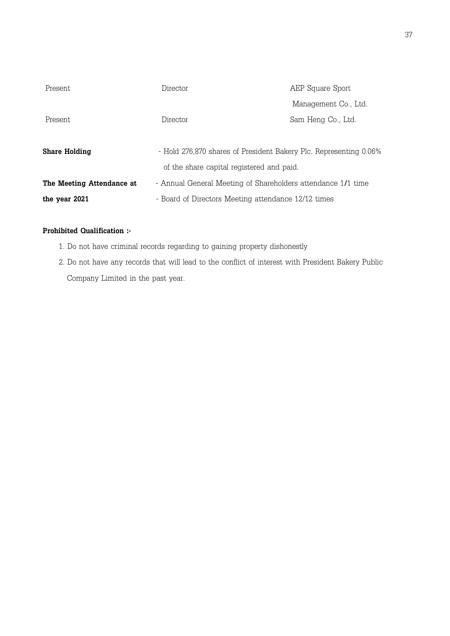| Present.                  | Director                                                          | AEP Square Sport     |
|---------------------------|-------------------------------------------------------------------|----------------------|
|                           |                                                                   | Management Co., Ltd. |
| Present.                  | Director                                                          | Sam Heng Co., Ltd.   |
|                           |                                                                   |                      |
| Share Holding             | - Hold 276,870 shares of President Bakery Plc. Representing 0.06% |                      |
|                           | of the share capital registered and paid.                         |                      |
| The Meeting Attendance at | - Annual General Meeting of Shareholders attendance 1/1 time      |                      |
| the year 2021             | - Board of Directors Meeting attendance 12/12 times               |                      |

- 1. Do not have criminal records regarding to gaining property dishonestly
- 2. Do not have any records that will lead to the conflict of interest with President Bakery Public Company Limited in the past year.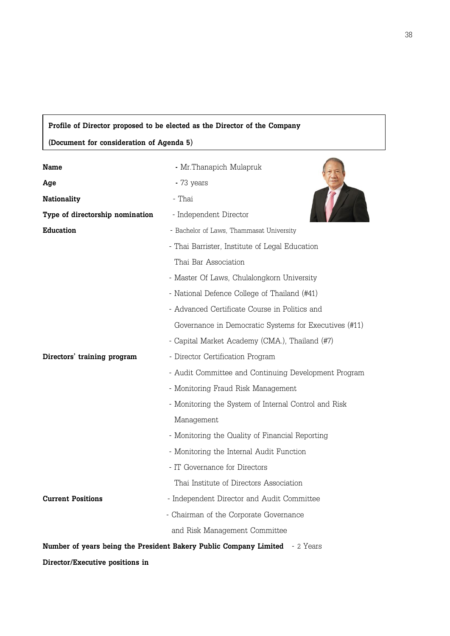## **Profile of Director proposed to be elected as the Director of the Company**

**(Document for consideration of Agenda 5)**

 $\overline{a}$ 

| Name                            | - Mr. Thanapich Mulapruk                                                           |
|---------------------------------|------------------------------------------------------------------------------------|
| Age                             | - 73 years                                                                         |
| <b>Nationality</b>              | - Thai                                                                             |
| Type of directorship nomination | - Independent Director                                                             |
| <b>Education</b>                | - Bachelor of Laws, Thammasat University                                           |
|                                 | - Thai Barrister, Institute of Legal Education                                     |
|                                 | Thai Bar Association                                                               |
|                                 | - Master Of Laws, Chulalongkorn University                                         |
|                                 | - National Defence College of Thailand (#41)                                       |
|                                 | - Advanced Certificate Course in Politics and                                      |
|                                 | Governance in Democratic Systems for Executives (#11)                              |
|                                 | - Capital Market Academy (CMA.), Thailand (#7)                                     |
| Directors' training program     | - Director Certification Program                                                   |
|                                 | - Audit Committee and Continuing Development Program                               |
|                                 | - Monitoring Fraud Risk Management                                                 |
|                                 | - Monitoring the System of Internal Control and Risk                               |
|                                 | Management                                                                         |
|                                 | - Monitoring the Quality of Financial Reporting                                    |
|                                 | - Monitoring the Internal Audit Function                                           |
|                                 | - IT Governance for Directors                                                      |
|                                 | Thai Institute of Directors Association                                            |
| <b>Current Positions</b>        | - Independent Director and Audit Committee                                         |
|                                 | - Chairman of the Corporate Governance                                             |
|                                 | and Risk Management Committee                                                      |
|                                 | <b>Number of years being the President Bakery Public Company Limited</b> - 2 Years |

**Director/Executive positions in**

 $\sim$